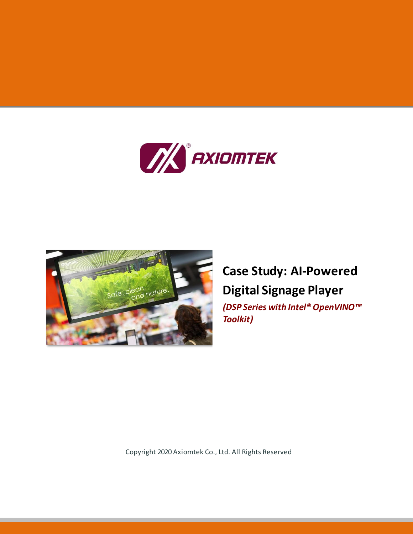



# **Case Study: AI-Powered Digital Signage Player**

*(DSP Series with Intel® OpenVINO™ Toolkit)*

Copyright 2020 Axiomtek Co., Ltd. All Rights Reserved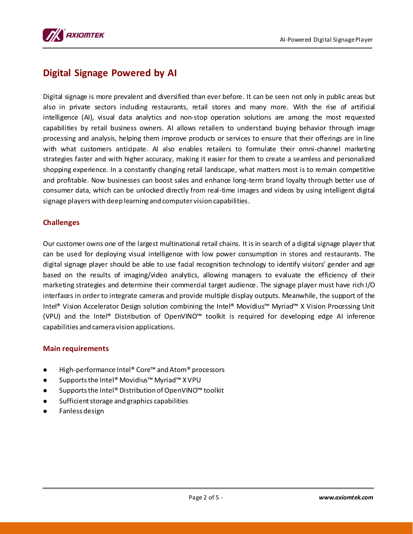

## **Digital Signage Powered by AI**

Digital signage is more prevalent and diversified than ever before. It can be seen not only in public areas but also in private sectors induding restaurants, retail stores and many more. With the rise of artificial intelligence (AI), visual data analytics and non-stop operation solutions are among the most requested capabilities by retail business owners. AI allows retailers to understand buying behavior through image processing and analysis, helping them improve products or services to ensure that their offerings are in line with what customers anticipate. AI also enables retailers to formulate their omni-channel marketing strategies faster and with higher accuracy, making it easier for them to create a seamless and personalized shopping experience. In a constantly changing retail landscape, what matters most is to remain competitive and profitable. Now businesses can boost sales and enhance long-term brand loyalty through better use of consumer data, which can be unlocked directly from real-time images and videos by using intelligent digital signage players with deep learning and computer vision capabilities.

#### **Challenges**

Our customer owns one of the largest multinational retail chains. It is in search of a digital signage player that can be used for deploying visual intelligence with low power consumption in stores and restaurants. The digital signage player should be able to use facial recognition technology to identify visitors' gender and age based on the results of imaging/video analytics, allowing managers to evaluate the efficiency of their marketing strategies and determine their commercial target audience. The signage player must have rich I/O interfaces in order to integrate cameras and provide multiple display outputs. Meanwhile, the support of the Intel® Vision Accelerator Design solution combining the Intel® Movidius™ Myriad™ X Vision Processing Unit (VPU) and the Intel® Distribution of OpenVINO™ toolkit is required for developing edge AI inference capabilities and camera vision applications.

#### **Main requirements**

- High-performance Intel® Core™ and Atom® processors
- Supportsthe Intel® Movidius™ Myriad™ X VPU
- Supports the Intel® Distribution of OpenVINO<sup>™</sup> toolkit
- Sufficient storage and graphics capabilities
- Fanless design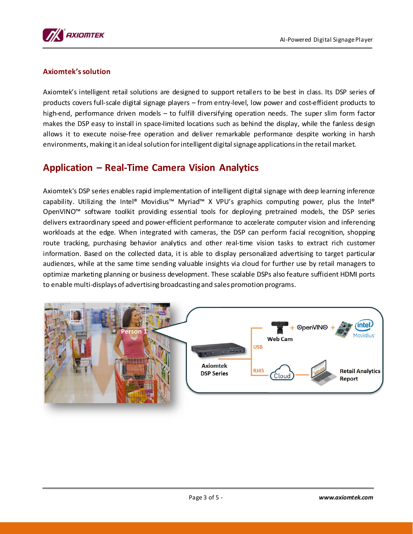

#### **Axiomtek'ssolution**

Axiomtek's intelligent retail solutions are designed to support retailers to be best in class. Its DSP series of products covers full-scale digital signage players – from entry-level, low power and cost-efficient products to high-end, performance driven models – to fulfill diversifying operation needs. The super slim form factor makes the DSP easy to install in space-limited locations such as behind the display, while the fanless design allows it to execute noise-free operation and deliver remarkable performance despite working in harsh environments, making it an ideal solution for intelligent digital signage applications in the retail market.

### **Application – Real-Time Camera Vision Analytics**

Axiomtek's DSP series enables rapid implementation of intelligent digital signage with deep learning inference capability. Utilizing the Intel® Movidius™ Myriad™ X VPU's graphics computing power, plus the Intel® OpenVINO™ software toolkit providing essential tools for deploying pretrained models, the DSP series delivers extraordinary speed and power-efficient performance to accelerate computer vision and inferencing workloads at the edge. When integrated with cameras, the DSP can perform facial recognition, shopping route tracking, purchasing behavior analytics and other real-time vision tasks to extract rich customer information. Based on the collected data, it is able to display personalized advertising to target particular audiences, while at the same time sending valuable insights via cloud for further use by retail managers to optimize marketing planning or business development. These scalable DSPs also feature sufficient HDMI ports to enable multi-displays of advertising broadcasting and sales promotion programs.

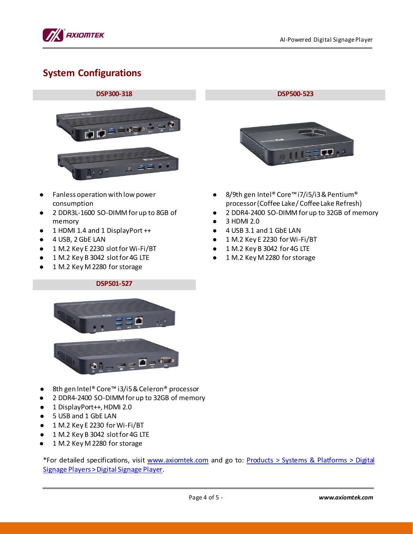

## **System Configurations**

## **DSP300-318 DSP500-523**



- Fanless operation with low power consumption
- 2 DDR3L-1600 SO-DIMM for up to 8GB of memory
- 1 HDMI 1.4 and 1 DisplayPort ++
- $\bullet$  4 USB, 2 GbE LAN
- 1 M.2 Key E 2230 slot for Wi-Fi/BT
- 1 M.2 Key B 3042 slot for 4G LTE
- 1 M.2 Key M 2280 for storage



- 8/9th gen Intel® Core™ i7/i5/i3 & Pentium® processor (Coffee Lake/ Coffee Lake Refresh)
- 2 DDR4-2400 SO-DIMM for up to 32GB of memory
- 3 HDMI 2.0
- 4 USB 3.1 and 1 GbE LAN
- 1 M.2 Key E 2230 for Wi-Fi/BT
- 1 M.2 Key B 3042 for 4G LTE
- 1 M.2 Key M 2280 for storage



**DSP501-527**

- 8th gen Intel® Core™ i3/i5 & Celeron® processor
- 2 DDR4-2400 SO-DIMM for up to 32GB of memory
- 1 DisplayPort++, HDMI 2.0
- 5 USB and 1 GbE LAN
- 1 M.2 Key E 2230 for Wi-Fi/BT
- 1 M.2 Key B 3042 slot for 4G LTE
- 1 M.2 Key M 2280 for storage

\*For detailed specifications, visit [www.axiomtek.com](http://www.axiomtek.com/) and go to: [Products > Systems & Platforms > Digital](https://www.axiomtek.com/Default.aspx?MenuId=Products&FunctionId=ProductInfo&Cat=304&C=Digital+Signage+Player)  [Signage Players > Digital Signage Player](https://www.axiomtek.com/Default.aspx?MenuId=Products&FunctionId=ProductInfo&Cat=304&C=Digital+Signage+Player).